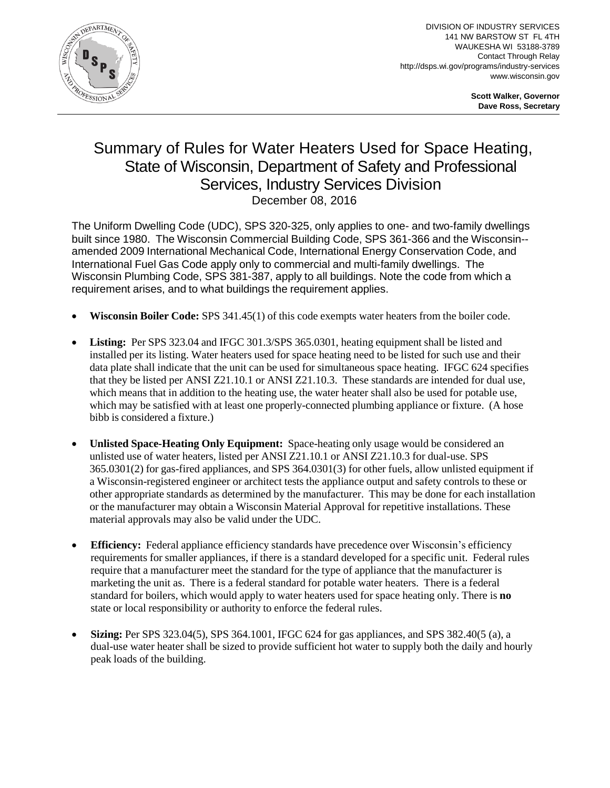

DIVISION OF INDUSTRY SERVICES 141 NW BARSTOW ST FL 4TH WAUKESHA WI 53188-3789 Contact Through Relay http://dsps.wi.gov/programs/industry-services www.wisconsin.gov

> **Scott Walker, Governor Dave Ross, Secretary**

## Summary of Rules for Water Heaters Used for Space Heating, State of Wisconsin, Department of Safety and Professional Services, Industry Services Division December 08, 2016

The Uniform Dwelling Code (UDC), SPS 320-325, only applies to one- and two-family dwellings built since 1980. The Wisconsin Commercial Building Code, SPS 361-366 and the Wisconsin- amended 2009 International Mechanical Code, International Energy Conservation Code, and International Fuel Gas Code apply only to commercial and multi-family dwellings. The Wisconsin Plumbing Code, SPS 381-387, apply to all buildings. Note the code from which a requirement arises, and to what buildings the requirement applies.

- **Wisconsin Boiler Code:** SPS 341.45(1) of this code exempts water heaters from the boiler code.
- **Listing:** Per SPS 323.04 and IFGC 301.3/SPS 365.0301, heating equipment shall be listed and installed per its listing. Water heaters used for space heating need to be listed for such use and their data plate shall indicate that the unit can be used for simultaneous space heating. IFGC 624 specifies that they be listed per ANSI Z21.10.1 or ANSI Z21.10.3. These standards are intended for dual use, which means that in addition to the heating use, the water heater shall also be used for potable use, which may be satisfied with at least one properly-connected plumbing appliance or fixture. (A hose bibb is considered a fixture.)
- **Unlisted Space-Heating Only Equipment:** Space-heating only usage would be considered an unlisted use of water heaters, listed per ANSI Z21.10.1 or ANSI Z21.10.3 for dual-use. SPS 365.0301(2) for gas-fired appliances, and SPS 364.0301(3) for other fuels, allow unlisted equipment if a Wisconsin-registered engineer or architect tests the appliance output and safety controls to these or other appropriate standards as determined by the manufacturer. This may be done for each installation or the manufacturer may obtain a Wisconsin Material Approval for repetitive installations. These material approvals may also be valid under the UDC.
- **Efficiency:** Federal appliance efficiency standards have precedence over Wisconsin's efficiency requirements for smaller appliances, if there is a standard developed for a specific unit. Federal rules require that a manufacturer meet the standard for the type of appliance that the manufacturer is marketing the unit as. There is a federal standard for potable water heaters. There is a federal standard for boilers, which would apply to water heaters used for space heating only. There is **no** state or local responsibility or authority to enforce the federal rules.
- **Sizing:** Per SPS 323.04(5), SPS 364.1001, IFGC 624 for gas appliances, and SPS 382.40(5 (a), a dual-use water heater shall be sized to provide sufficient hot water to supply both the daily and hourly peak loads of the building.